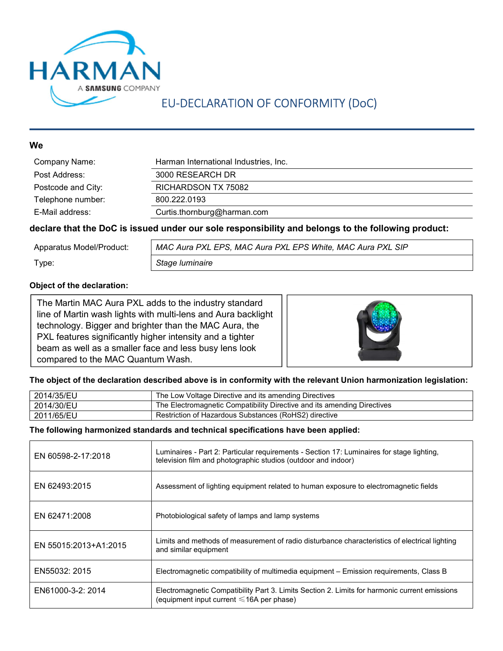

## EU-DECLARATION OF CONFORMITY (DoC)

#### **We**

| Company Name:      | Harman International Industries, Inc. |
|--------------------|---------------------------------------|
| Post Address:      | 3000 RESEARCH DR                      |
| Postcode and City: | RICHARDSON TX 75082                   |
| Telephone number:  | 800.222.0193                          |
| E-Mail address:    | Curtis.thornburg@harman.com           |

#### declare that the DoC is issued under our sole responsibility and belongs to the following product:

| Apparatus Model/Product: | MAC Aura PXL EPS, MAC Aura PXL EPS White, MAC Aura PXL SIP |
|--------------------------|------------------------------------------------------------|
| Type:                    | Stage luminaire                                            |

#### Object of the declaration:

The Martin MAC Aura PXL adds to the industry standard line of Martin wash lights with multi-lens and Aura backlight technology. Bigger and brighter than the MAC Aura, the PXL features significantly higher intensity and a tighter beam as well as a smaller face and less busy lens look compared to the MAC Quantum Wash.



#### The object of the declaration described above is in conformity with the relevant Union harmonization legislation:

| 2014/35/EU | The Low Voltage Directive and its amending Directives                   |
|------------|-------------------------------------------------------------------------|
| 2014/30/EU | The Electromagnetic Compatibility Directive and its amending Directives |
| 2011/65/EU | Restriction of Hazardous Substances (RoHS2) directive                   |

#### The following harmonized standards and technical specifications have been applied:

| EN 60598-2-17:2018    | Luminaires - Part 2: Particular requirements - Section 17: Luminaires for stage lighting.<br>television film and photographic studios (outdoor and indoor) |
|-----------------------|------------------------------------------------------------------------------------------------------------------------------------------------------------|
| EN 62493:2015         | Assessment of lighting equipment related to human exposure to electromagnetic fields                                                                       |
| EN 62471:2008         | Photobiological safety of lamps and lamp systems                                                                                                           |
| EN 55015:2013+A1:2015 | Limits and methods of measurement of radio disturbance characteristics of electrical lighting<br>and similar equipment                                     |
| EN55032: 2015         | Electromagnetic compatibility of multimedia equipment – Emission requirements, Class B                                                                     |
| EN61000-3-2: 2014     | Electromagnetic Compatibility Part 3. Limits Section 2. Limits for harmonic current emissions<br>(equipment input current $\leq 16A$ per phase)            |